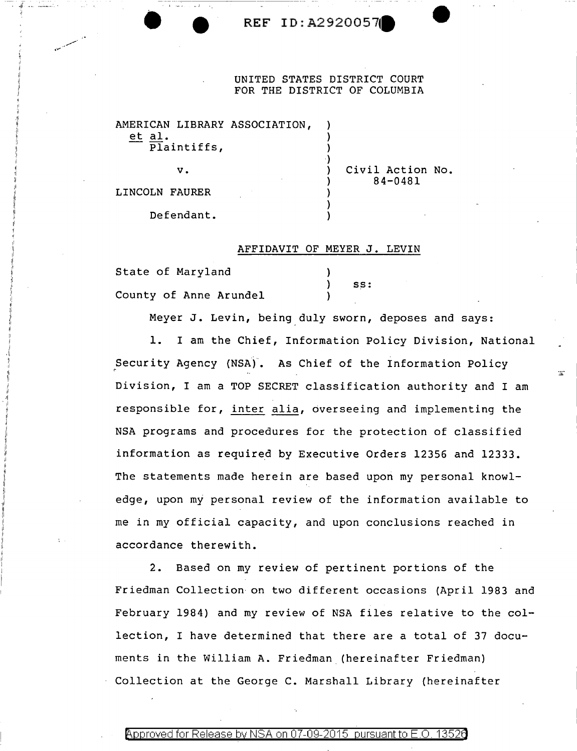## **• REF ID:A29200570**

## UNITED STATES DISTRICT COURT FOR THE DISTRICT OF COLUMBIA

)

)

)

AMERICAN LIBRARY ASSOCIATION, et al. Plaintiffs,

 $v.$  )

Civil Action No. 84-0481

LINCOLN FAURER

Defendant.

## AFFIDAVIT OF MEYER J. LEVIN

| State of Maryland      |     |
|------------------------|-----|
|                        | SS: |
| County of Anne Arundel |     |

Meyer J. Levin, being duly sworn, deposes and says:

**1.** I am the Chief, Information Policy Division, National Security Agency (NSA). As Chief of the Information Policy ' Division, I am a TOP SECRET classification authority and I am responsible for, inter alia, overseeing and implementing the NSA programs and procedures for the protection of classified information as required by Executive Orders 12356 and 12333. The statements made herein are based upon my personal knowledge, upon my personal review of the information available to me in my official capacity, and upon conclusions reached in accordance therewith.

2. Based on my review of pertinent portions of the Friedman Collection on two different occasions {April 1983 and February 1984) and my review of NSA files relative to the collection, I have determined that there are a total of 37 documents in the William A. Friedman (hereinafter Friedman) Collection at the George C. Marshall Library (hereinafter

Approved for Release by NSA on 07-09-2015 pursuant to E.O.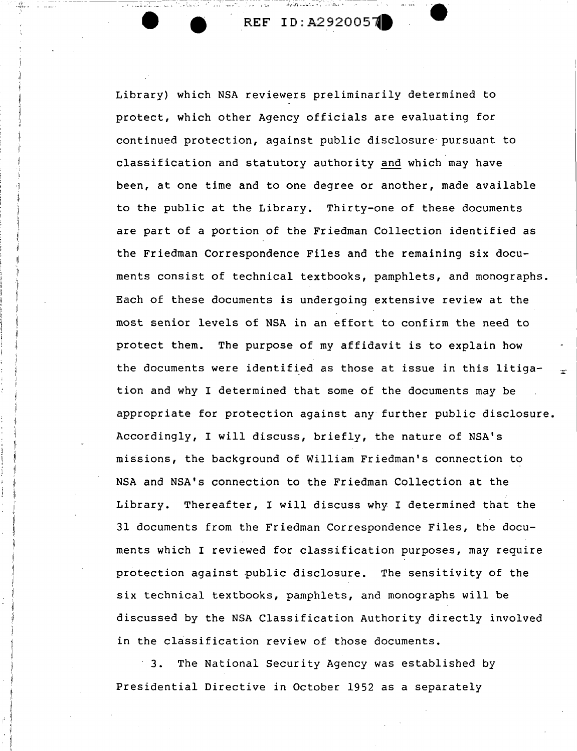$\mathbb{P}[\mathbb{Z}_{\mathrm{new}} \cup \mathbb{Z}_{\mathrm{new}}] = \mathbb{P}[\mathbb{Z}_{\mathrm{new}} \cup \mathbb{Z}_{\mathrm{new}}] = \mathbb{P}[\mathbb{Z}_{\mathrm{new}} \cup \mathbb{Z}_{\mathrm{new}}]$ 

- ------------------

Library) which NSA reviewers preliminarily determined to protect, which other Agency officials are evaluating for continued protection, against public disclosure· pursuant to classification and statutory authority and which may have been, at one time and to one degree or another, made available to the public at the Library. Thirty-one of these documents are part of a portion of the Friedman Collection identified as the Friedman Correspondence Files and the remaining six documents consist of technical textbooks, pamphlets, and monographs. Each of these documents is undergoing extensive review at the most senior levels of NSA in an effort to confirm the need to protect them. The purpose of my affidavit is to explain how the documents were identified as those at issue in this litigation and why I determined that some of the documents may be appropriate for protection against any further public disclosure. Accordingly, I will discuss, briefly, the nature of NSA's missions, the background of William Friedman's connection to NSA and NSA's connection to the Friedman Collection at the Library. Thereafter, I will discuss why I determined that the 31 documents from the Friedman Correspondence Files, the documents which I reviewed for classification purposes, may require protection against public disclosure. The sensitivity of the six technical textbooks, pamphlets, and monographs will be discussed by the NSA Classification Authority directly involved in the classification review of those documents.

3. The National Security Agency was established by Presidential Directive in October 1952 as a separately

11 ii I ' *1* 

·ii ii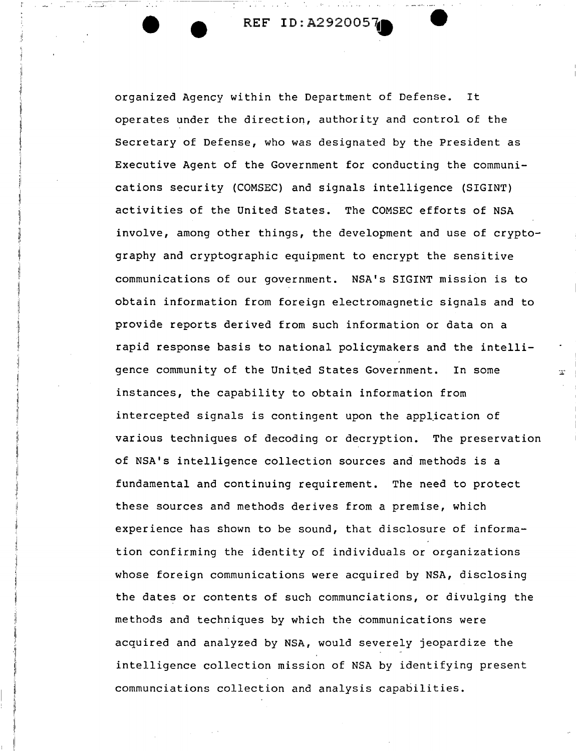I II

 $\mathfrak l$ ł,

11 i. II

11  $\parallel$ 

i. ii ii ii organized Agency within the Department of Defense. It operates under the direction, authority and control of the Secretary of Defense, who was designated by the President as Executive Agent of the Government for conducting the communications security (COMSEC) and signals intelligence (SIGINT) activities of the United States. The COMSEC efforts of NSA involve, among other things, the development and use of cryptography and cryptographic equipment to encrypt the sensitive communications of our government. NSA's SIGINT mission is to obtain information from foreign electromagnetic signals and to provide reports derived from such information or data on a rapid response basis to national policymakers and the intelligence community of the United States Government. In some instances, the capability to obtain information from intercepted signals is contingent upon the application of various techniques of decoding or decryption. The preservation of NSA's intelligence collection sources and methods is a fundamental and continuing requirement. The need to protect these sources and methods derives from a premise, which experience has shown to be sound, that disclosure of information confirming the identity of individuals or organizations whose foreign communications were acquired by NSA, disclosing the dates or contents of such communciations, or divulging the methods and techniques by which the communications were acquired and analyzed by NSA, would severely jeopardize the intelligence collection mission of NSA by identifying present communciations collection and analysis capabilities.

 $\mathbb{Z}^*$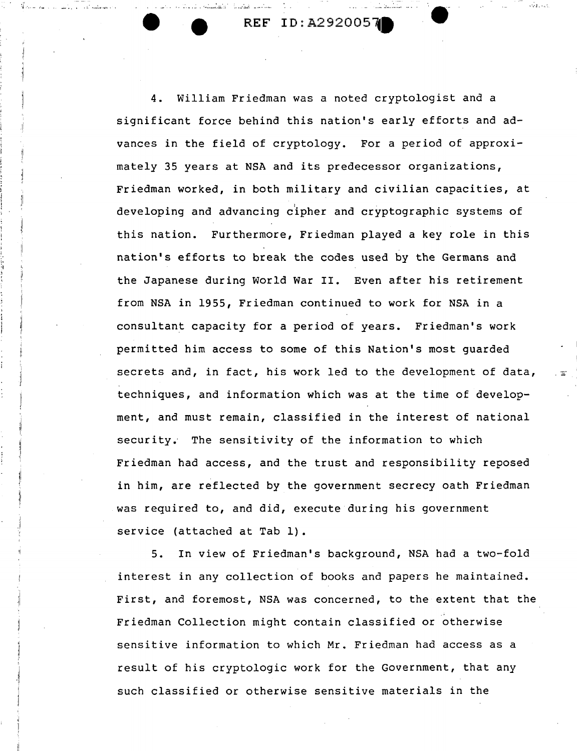. . ~' *..* ~.: *..* ~ ,..,,, . ····-~~ .. ~.:

4. William Friedman was a noted cryptologist and a significant force behind this nation's early efforts and advances in the field of cryptology. For a period of approximately 35 years at NSA and its predecessor organizations, Friedman worked, in both military and civilian capacities, at developing and advancing cipher and cryptographic systems of this nation. Furthermore, Friedman played a key role in this nation's efforts to break the codes used by the Germans and the Japanese during World War II. Even after his retirement from NSA in 1955, Friedman continued to work for NSA in a consultant capacity for *a* period of years. Friedman's work permitted him access to some of this Nation's most guarded secrets and, in fact, his work led to the development of data, techniques, and information which was at the time of development, and must remain, classified in the interest of national security. The sensitivity of the information to which Friedman had access, and the trust and responsibility reposed in him, are reflected by the government secrecy oath Friedman was required to, and did, execute during his government service (attached at Tab 1).

5. In view of Friedman's background, NSA had a two-fold interest in any collection of books and papers he maintained. First, and foremost, NSA was concerned, to the extent that the .• Friedman Collection might contain classified or otherwise sensitive information to which Mr. Friedman had access as a result of his cryptologic work for the Government, that any such classified or otherwise sensitive materials in the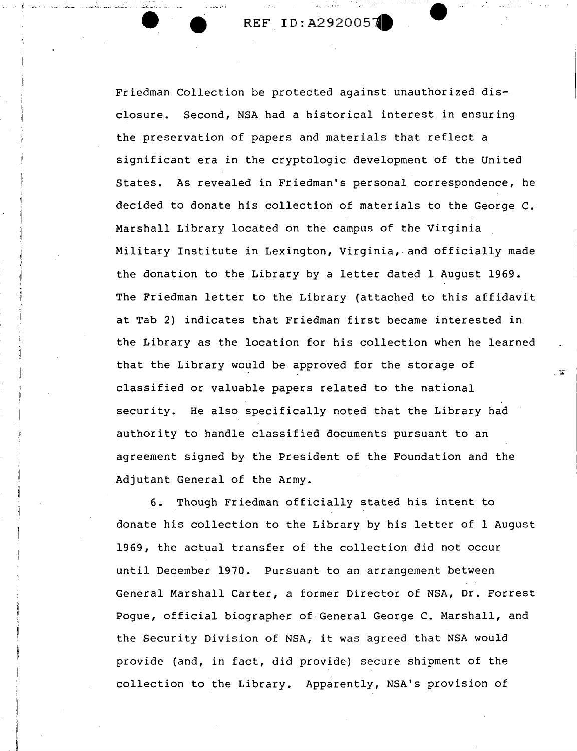• • *•* ..:·~ ..... J • .: •• .. *r:.* 

.'I'

Friedman Collection be protected against unauthorized disclosure. Second, NSA had a historical interest in ensuring the preservation of papers and materials that reflect a significant era in the cryptologic development of the United States. As revealed in Friedman's personal correspondence, he decided to donate his collection of materials to the George C. Marshall Library located on the campus of the Virginia Military Institute in Lexington, Virginia, and officially made the donation to the Library by a letter dated 1 August 1969. The Friedman letter to the Library {attached to this affidavit at Tab 2) indicates that Friedman first became interested in the Library as the location for his collection when he learned that the Library would be approved for the storage of classified or valuable papers related to the national security. He also specifically noted that the Library had authority to handle classified documents pursuant to an agreement signed by the President of the Foundation and the Adjutant General of the Army.

.  $\mathbb{E}$ 

6. Though Friedman officially stated his intent to donate his collection to the Library by his letter of 1 August 1969, the actual transfer of the collection did not occur until December 1970. Pursuant to an arrangement between General Marshall Carter, a former Director of NSA, Dr. Forrest Pogue, official biographer of General George c. Marshall, and the Security Division of NSA, it was agreed that NSA would provide {and, in fact, did provide) secure shipment of the collection to the Library. Apparently, NSA's provision of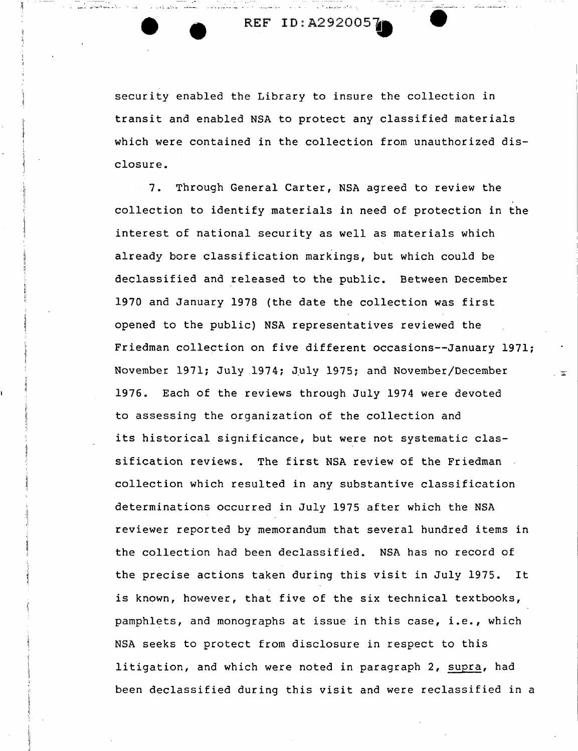REF ID:A292005.

بمرسيم في المادة المواصلين الموسيون في أخر <u>عباد الممامي المواسعة المواصلية والمادة</u> المواد المواضحة الأسامي الم

 $\left\{ \begin{array}{ccc} \text{I} & \text{I} & \text{I} & \text{I} & \text{I} & \text{I} & \text{I} & \text{I} & \text{I} & \text{I} & \text{I} & \text{I} & \text{I} & \text{I} & \text{I} & \text{I} & \text{I} & \text{I} & \text{I} & \text{I} & \text{I} & \text{I} & \text{I} & \text{I} & \text{I} & \text{I} & \text{I} & \text{I} & \text{I} & \text{I} & \text{I} & \text{I} & \text{I} & \text{I} & \text{I}$ 

security enabled the Library to insure the collection in transit and enabled NSA to protect any classified materials which were contained in the collection from unauthorized disclosure.

7. Through General Carter, NSA agreed to review the collection to identify materials in need of protection in the interest of national security as well as materials which already bore classification markings, but which could be declassified and released to the public. Between December 1970 and January 1978 (the date the collection was first opened to the public) NSA representatives reviewed the Friedman collection on five different occasions--January 1971; November 1971; July 1974; July 1975; and November/December 1976. Each of the reviews through July 1974 were devoted to assessing the organization of the collection and its historical significance, but were not systematic classification reviews. The first NSA review of the Friedman collection which resulted in any substantive classification determinations occurred in July 1975 after which the NSA reviewer reported by memorandum that several hundred items in the collection had been declassified. NSA has no record of the precise actions taken during this visit in July 1975. It is known, however, that five of the six technical textbooks, pamphlets, and monographs at issue in this case, i.e., which NSA seeks to protect from disclosure in respect to this litigation, and which were noted in paragraph 2, supra, had been declassified during this visit and were reclassified in a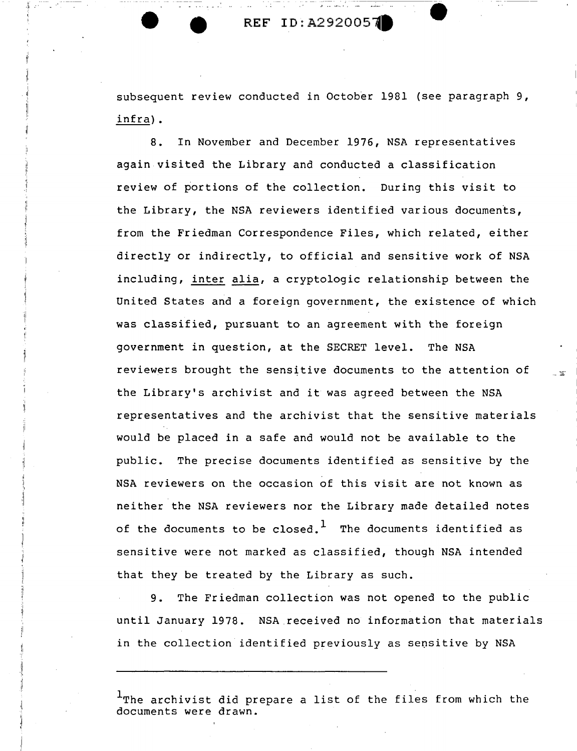$\Lambda$  . . . .

subsequent review conducted in October 1981 (see paragraph 9, infra) •

8. In November and December 1976, NSA representatives again visited the Library and conducted a classification review of portions of the collection. During this visit to the Library, the NSA reviewers identified various documents, from the Friedman Correspondence Files, which related, either directly or indirectly, to official and sensitive work of NSA including, inter alia, a cryptologic relationship between the United States and a foreign government, the existence of which was classified, pursuant to an agreement with the foreign government in question, at the SECRET level. The NSA reviewers brought the sensitive documents to the attention of the Library's archivist and it was agreed between the NSA representatives and the archivist that the sensitive materials would be placed in a safe and would not be available to the public. The precise documents identified as sensitive by the NSA reviewers on the occasion of this visit are not known as neither the NSA reviewers nor the Library made detailed notes of the documents to be closed.<sup>1</sup> The documents identified as sensitive were not marked as classified, though NSA intended that they be treated by the Library as such.

9. The Friedman collection was not opened to the public until January 1978. NSA received no information that materials in the collection identified previously as sensitive by NSA

The archivist did prepare a list of the files from which the documents were drawn.

... ~·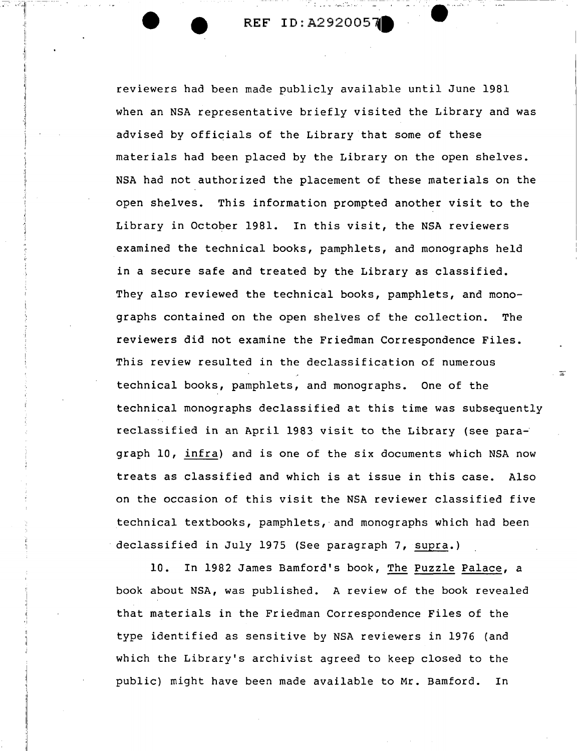**e·····** 

reviewers had been made publicly available until June 1981 when an NSA representative briefly visited the Library and was advised by officials of the Library that some of these materials had been placed by the Library on the open shelves. NSA had not authorized the placement of these materials on the open shelves. This information prompted another visit to the Library in October 1981. In this visit, the NSA reviewers examined the technical books, pamphlets, and monographs held in a secure safe and treated by the Library as classified. They also reviewed the technical books, pamphlets, and monographs contained on the open shelves of the collection. The reviewers did not examine the Friedman Correspondence Files. This review resulted in the declassification of numerous technical books, pamphlets, and monographs. One of the technical monographs declassified at this time was subsequently reclassified in an April 1983 visit to the Library (see paragraph 10, infra) and is one of the six documents which NSA now treats as classified and which is at issue in this case. Also on the occasion of this visit the NSA reviewer classified five technical textbooks, pamphlets, and monographs which had been declassified in July 1975 (See paragraph 7, supra.)

10. In 1982 James Bamford's book, The Puzzle Palace, a book about NSA, was published. A review of the book revealed that materials in the Friedman Correspondence Files of the type identified as sensitive by NSA reviewers in 1976 (and which the Library's archivist agreed to keep closed to the public) might have been made available to Mr. Bamford. In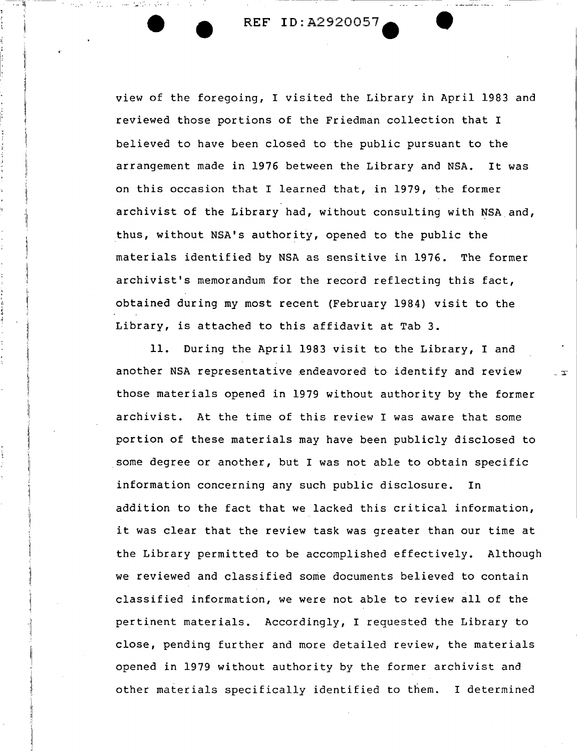view of the foregoing, I visited the Library in April 1983 and reviewed those portions of the Friedman collection that I believed to have been closed to the public pursuant to the arrangement made in 1976 between the Library and NSA. It was on this occasion that I learned that, in 1979, the former archivist of the Library had, without consulting with NSA and, thus, without NSA's authority, opened to the public the materials identified by NSA as sensitive in 1976. The former archivist's memorandum for the record reflecting this fact, obtained during my most recent (February 1984) visit to the Library, is attached to this affidavit at Tab 3.

11. During the April 1983 visit to the Library, I and another NSA representative endeavored to identify and review those materials opened in 1979 without authority by the former archivist. At the time of this review I was aware that some portion of these materials may have been publicly disclosed to some degree or another, but I was not able to obtain specific information concerning any such public disclosure. In addition to the fact that we lacked this critical information, it was clear that the review task was greater than our time at the Library permitted to be accomplished effectively. Although we reviewed and classified some documents believed to contain classified information, we were not able to review all of the pertinent materials. Accordingly, I requested the Library to close, pending further and more detailed review, the materials opened in 1979 without authority by the former archivist and other materials specifically identified to them. I determined

. 世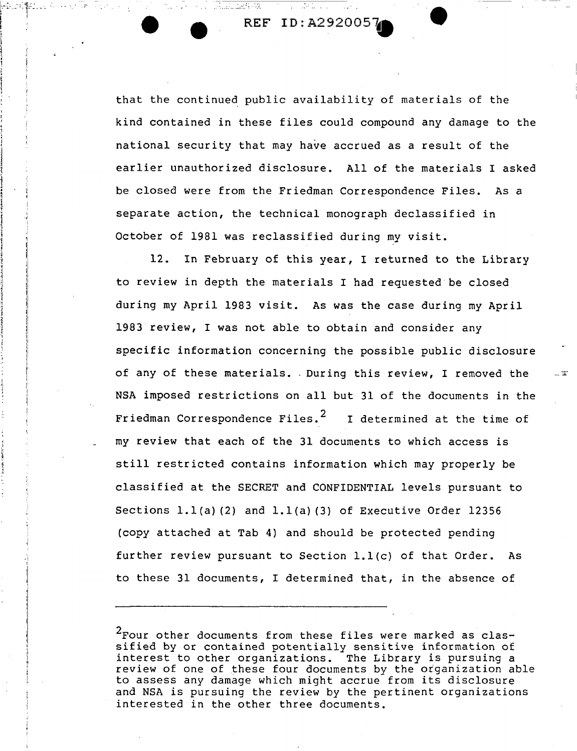REF ID:A2920057 ...

*. T·* -,--~---~---

1··' '11 ...

} j l i

> that the continued public availability of materials of the kind contained in these files could compound any damage to the national security that may have accrued as a result of the earlier unauthorized disclosure. All of the materials I asked be closed were from the Friedman Correspondence Files. As a separate action, the technical monograph declassified in October of 1981 was reclassified during my visit.

> 12. In February of this year, I returned to the Library to review in depth the materials I had requested be closed during my April 1983 visit. As was the case during my April 1983 review, I was not able to obtain and consider any specific information concerning the possible public disclosure of any of these materials. . During this review, I removed the NSA imposed restrictions on all but 31 of the documents in the Friedman Correspondence Files. $2$  I determined at the time of my review that each of the 31 documents to which access is still restricted contains information which may properly be classified at the SECRET and CONFIDENTIAL levels pursuant to Sections  $1.1(a)$  (2) and  $1.1(a)$  (3) of Executive Order 12356 (copy attached at Tab 4) and should be protected pending further review pursuant to Section l.l(c) of that Order. As to these 31 documents, I determined that, in the absence of

> $2$ Four other documents from these files were marked as classified by or contained potentially sensitive information of interest to other organizations. The Library is pursuing a review of one of these four documents by the otganization able to assess any damage which might accrue from its disclosure and NSA is pursuing the review by the pertinent organizations interested in the other three documents.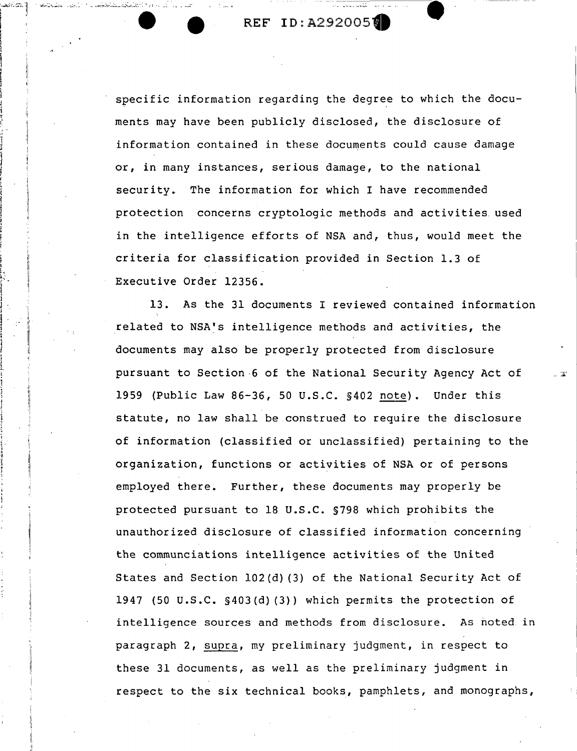$\left\| \mathbf{u}_{\mathbf{u}}\right\|$  ,  $\left\| \mathbf{u}_{\mathbf{u}}\right\|$ ? • <sup>f</sup> I I I

 $\blacksquare$ • !<br>!<br>!  $\mathbf{i}$ 

.. 1<br>1 I ;

~ ' I <sup>~</sup>'!  $\sim$  $\frac{5}{3}$ l  $\mathbf{l}$   $\mathbf{l}$   $\mathbf{l}$  $\vert$   $\vert$ 

: I  $\frac{1}{1}$ į.

,. I i i ' r "

specific information regarding the degree to which the documents may have been publicly disclosed, the disclosure of information contained in these documents could cause damage or, in many instances, serious damage, to the national security. The information for which I have recommended protection concerns cryptologic methods and activities. used in the intelligence efforts of NSA and, thus, would meet the criteria for classification provided in Section 1.3 of Executive Order 12356.

13. As the 31 documents I reviewed contained information related to NSA's intelligence methods and activities, the documents may also be properly protected from disclosure pursuant to Section-6 of the National Security Agency Act of 1959 (Public Law 86-36, 50 U.S.C. §402 note). Under this statute, no law shall be construed to require the disclosure of information (classified or unclassified) pertaining to the organization, functions or activities of NSA or of persons employed there. Further, these documents may properly be protected pursuant to 18 U.S.C. §798 which prohibits the unauthorized disclosure of classified information concerning the communciations intelligence activities of the United States and Section 102(d) (3) of the National Security Act of 1947 (50 U.S.C. §403 (d) (3)) which permits the protection of intelligence sources and methods from disclosure. As noted in paragraph 2, supra, my preliminary judgment, in respect to these 31 documents, as well as the preliminary judgment in respect to the six technical books, pamphlets, and monographs,

 $\mathbb{Z}^n$